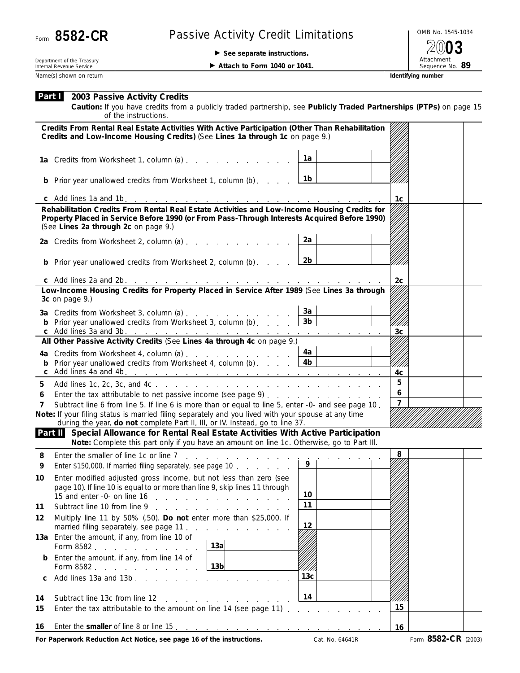

## Form 8582-CR | Passive Activity Credit Limitations

**See separate instructions.**

OMB No. 1545-1034 Attachment<br>Sequence No. 89 **2003**

Department of the Treasury Internal Revenue Service Name(s) shown on return **IDENTIFYING INCOLLECT CONTACT THE CONTACT OF THE CONTACT OF THE CONTACT OF THE CONTACT OF THE CONTACT OF THE CONTACT OF THE CONTACT OF THE CONTACT OF THE CONTACT OF THE CONTACT OF THE CONTACT OF TH** 

**Attach to Form 1040 or 1041.** 

**Caution:** *If you have credits from a publicly traded partnership, see Publicly Traded Partnerships (PTPs) on page 15 of the instructions.*

| Credits From Rental Real Estate Activities With Active Participation (Other Than Rehabilitation<br>Credits and Low-Income Housing Credits) (See Lines 1a through 1c on page 9.) |                                                                                                                                                                                      |                        |                |                     |
|---------------------------------------------------------------------------------------------------------------------------------------------------------------------------------|--------------------------------------------------------------------------------------------------------------------------------------------------------------------------------------|------------------------|----------------|---------------------|
|                                                                                                                                                                                 | 1a Credits from Worksheet 1, column (a)                                                                                                                                              | 1a                     |                |                     |
|                                                                                                                                                                                 | <b>b</b> Prior year unallowed credits from Worksheet 1, column (b)                                                                                                                   | 1b                     |                |                     |
|                                                                                                                                                                                 |                                                                                                                                                                                      |                        | 1c             |                     |
|                                                                                                                                                                                 | Rehabilitation Credits From Rental Real Estate Activities and Low-Income Housing Credits for                                                                                         |                        |                |                     |
| Property Placed in Service Before 1990 (or From Pass-Through Interests Acquired Before 1990)<br>(See Lines 2a through 2c on page 9.)                                            |                                                                                                                                                                                      |                        |                |                     |
|                                                                                                                                                                                 | 2a Credits from Worksheet 2, column (a)                                                                                                                                              | 2a                     |                |                     |
|                                                                                                                                                                                 | <b>b</b> Prior year unallowed credits from Worksheet 2, column (b)                                                                                                                   | 2b                     |                |                     |
|                                                                                                                                                                                 |                                                                                                                                                                                      |                        | 2 <sub>c</sub> |                     |
| Low-Income Housing Credits for Property Placed in Service After 1989 (See Lines 3a through<br>3c on page 9.)                                                                    |                                                                                                                                                                                      |                        |                |                     |
|                                                                                                                                                                                 | 3a Credits from Worksheet 3, column (a)                                                                                                                                              | 3a                     |                |                     |
|                                                                                                                                                                                 | <b>b</b> Prior year unallowed credits from Worksheet 3, column (b) $\qquad \qquad$                                                                                                   | 3 <sub>b</sub>         |                |                     |
|                                                                                                                                                                                 |                                                                                                                                                                                      |                        | 3 <sub>c</sub> |                     |
|                                                                                                                                                                                 | All Other Passive Activity Credits (See Lines 4a through 4c on page 9.)                                                                                                              |                        |                |                     |
|                                                                                                                                                                                 | 4a Credits from Worksheet 4, column (a)<br><b>b</b> Prior year unallowed credits from Worksheet 4, column (b) $\ldots$                                                               | 4a l<br>4 <sub>b</sub> | /////          |                     |
|                                                                                                                                                                                 |                                                                                                                                                                                      |                        | 4c             |                     |
| 5                                                                                                                                                                               |                                                                                                                                                                                      |                        | 5              |                     |
| 6                                                                                                                                                                               |                                                                                                                                                                                      |                        |                |                     |
| 7                                                                                                                                                                               | Subtract line 6 from line 5. If line 6 is more than or equal to line 5, enter -0- and see page 10.                                                                                   |                        | $\overline{7}$ |                     |
|                                                                                                                                                                                 | Note: If your filing status is married filing separately and you lived with your spouse at any time<br>during the year, do not complete Part II, III, or IV. Instead, go to line 37. |                        |                |                     |
|                                                                                                                                                                                 | Part II Special Allowance for Rental Real Estate Activities With Active Participation<br>Note: Complete this part only if you have an amount on line 1c. Otherwise, go to Part III.  |                        |                |                     |
| 8                                                                                                                                                                               | Enter the smaller of line 1c or line $7 \ldots \ldots \ldots \ldots \ldots$                                                                                                          |                        | 8              |                     |
| 9                                                                                                                                                                               | Enter \$150,000. If married filing separately, see page 10                                                                                                                           | 9                      |                |                     |
| 10                                                                                                                                                                              | Enter modified adjusted gross income, but not less than zero (see                                                                                                                    |                        |                |                     |
|                                                                                                                                                                                 | page 10). If line 10 is equal to or more than line 9, skip lines 11 through                                                                                                          | 10                     |                |                     |
| 11                                                                                                                                                                              | 15 and enter -0- on line 16 $\ldots$<br>Subtract line 10 from line 9                                                                                                                 | 11                     |                |                     |
| 12                                                                                                                                                                              | Multiply line 11 by 50% (.50). Do not enter more than \$25,000. If                                                                                                                   |                        |                |                     |
|                                                                                                                                                                                 | married filing separately, see page 11.                                                                                                                                              | 12                     |                |                     |
|                                                                                                                                                                                 | 13a Enter the amount, if any, from line 10 of<br>13a<br>Form 8582                                                                                                                    |                        |                |                     |
|                                                                                                                                                                                 | Enter the amount, if any, from line 14 of<br>13 <sub>b</sub><br>Form 8582                                                                                                            |                        |                |                     |
| С                                                                                                                                                                               | Add lines 13a and 13b<br>and the control                                                                                                                                             | 13 <sub>c</sub>        |                |                     |
| 14                                                                                                                                                                              | Subtract line 13c from line 12<br>and the contract of the con-                                                                                                                       | 14                     |                |                     |
| 15                                                                                                                                                                              | Enter the tax attributable to the amount on line 14 (see page 11) $\ldots$                                                                                                           |                        | 15             |                     |
| 16                                                                                                                                                                              |                                                                                                                                                                                      |                        | 16             |                     |
|                                                                                                                                                                                 | For Paperwork Reduction Act Notice, see page 16 of the instructions.                                                                                                                 | Cat. No. 64641R        |                | Form 8582-CR (2003) |